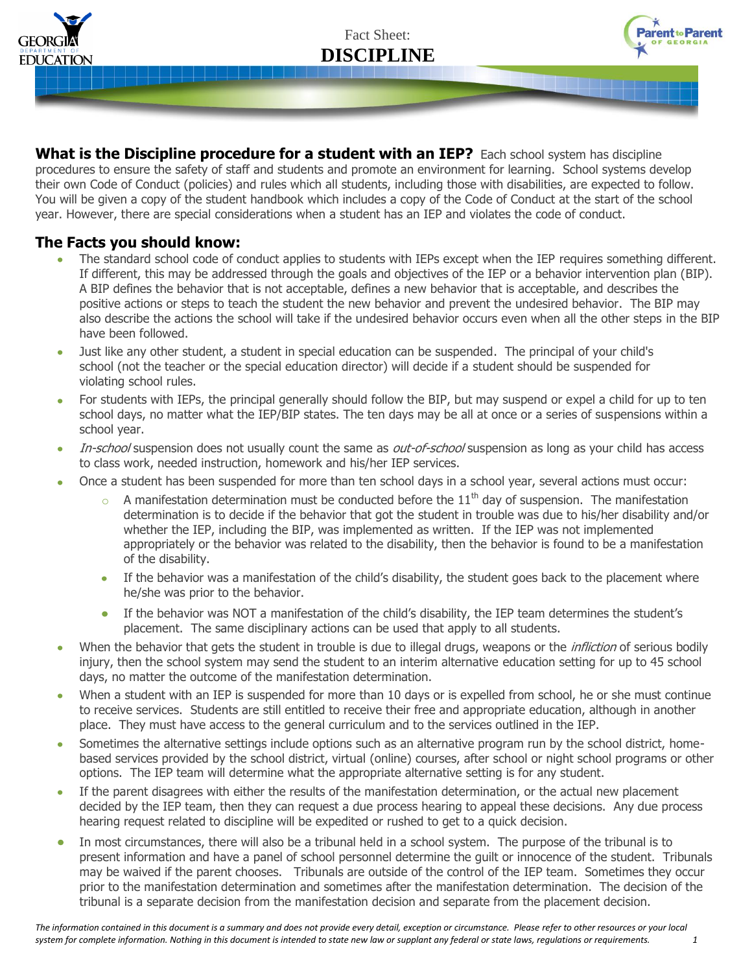

Fact Sheet: **DISCIPLINE**



**What is the Discipline procedure for a student with an IEP?** Each school system has discipline procedures to ensure the safety of staff and students and promote an environment for learning. School systems develop their own Code of Conduct (policies) and rules which all students, including those with disabilities, are expected to follow. You will be given a copy of the student handbook which includes a copy of the Code of Conduct at the start of the school year. However, there are special considerations when a student has an IEP and violates the code of conduct.

## **The Facts you should know:**

- The standard school code of conduct applies to students with IEPs except when the IEP requires something different. If different, this may be addressed through the goals and objectives of the IEP or a behavior intervention plan (BIP). A BIP defines the behavior that is not acceptable, defines a new behavior that is acceptable, and describes the positive actions or steps to teach the student the new behavior and prevent the undesired behavior. The BIP may also describe the actions the school will take if the undesired behavior occurs even when all the other steps in the BIP have been followed.
- Just like any other student, a student in special education can be suspended. The principal of your child's  $\bullet$ school (not the teacher or the special education director) will decide if a student should be suspended for violating school rules.
- For students with IEPs, the principal generally should follow the BIP, but may suspend or expel a child for up to ten school days, no matter what the IEP/BIP states. The ten days may be all at once or a series of suspensions within a school year.
- In-school suspension does not usually count the same as out-of-school suspension as long as your child has access  $\bullet$ to class work, needed instruction, homework and his/her IEP services.
- Once a student has been suspended for more than ten school days in a school year, several actions must occur:
	- $\circ$  A manifestation determination must be conducted before the 11<sup>th</sup> day of suspension. The manifestation determination is to decide if the behavior that got the student in trouble was due to his/her disability and/or whether the IEP, including the BIP, was implemented as written. If the IEP was not implemented appropriately or the behavior was related to the disability, then the behavior is found to be a manifestation of the disability.
	- If the behavior was a manifestation of the child's disability, the student goes back to the placement where  $\bullet$ he/she was prior to the behavior.
	- If the behavior was NOT a manifestation of the child's disability, the IEP team determines the student's placement. The same disciplinary actions can be used that apply to all students.
- When the behavior that gets the student in trouble is due to illegal drugs, weapons or the *infliction* of serious bodily injury, then the school system may send the student to an interim alternative education setting for up to 45 school days, no matter the outcome of the manifestation determination.
- When a student with an IEP is suspended for more than 10 days or is expelled from school, he or she must continue  $\bullet$ to receive services. Students are still entitled to receive their free and appropriate education, although in another place. They must have access to the general curriculum and to the services outlined in the IEP.
- Sometimes the alternative settings include options such as an alternative program run by the school district, home- $\bullet$ based services provided by the school district, virtual (online) courses, after school or night school programs or other options. The IEP team will determine what the appropriate alternative setting is for any student.
- If the parent disagrees with either the results of the manifestation determination, or the actual new placement decided by the IEP team, then they can request a due process hearing to appeal these decisions. Any due process hearing request related to discipline will be expedited or rushed to get to a quick decision.
- In most circumstances, there will also be a tribunal held in a school system. The purpose of the tribunal is to present information and have a panel of school personnel determine the guilt or innocence of the student. Tribunals may be waived if the parent chooses. Tribunals are outside of the control of the IEP team. Sometimes they occur prior to the manifestation determination and sometimes after the manifestation determination. The decision of the tribunal is a separate decision from the manifestation decision and separate from the placement decision.